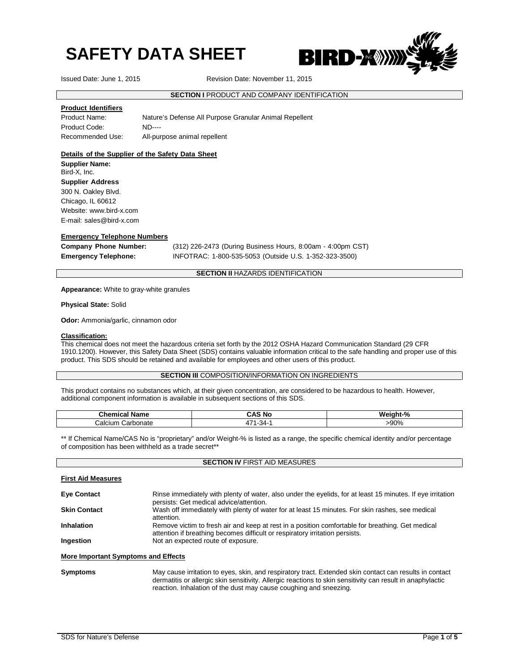Issued Date: June 1, 2015 Revision Date: November 11, 2015

# **SECTION I** PRODUCT AND COMPANY IDENTIFICATION

**BIRD-XWWMS** 

## **Product Identifiers**

Product Name: Nature's Defense All Purpose Granular Animal Repellent Product Code: ND---- Recommended Use: All-purpose animal repellent

# **Details of the Supplier of the Safety Data Sheet**

**Supplier Name:**  Bird-X, Inc. **Supplier Address** 300 N. Oakley Blvd. Chicago, IL 60612 Website: www.bird-x.com E-mail: sales@bird-x.com

#### **Emergency Telephone Numbers**

**Company Phone Number:** (312) 226-2473 (During Business Hours, 8:00am - 4:00pm CST) **Emergency Telephone:** INFOTRAC: 1-800-535-5053 (Outside U.S. 1-352-323-3500)

#### **SECTION II HAZARDS IDENTIFICATION**

**Appearance:** White to gray-white granules

#### **Physical State:** Solid

**Odor:** Ammonia/garlic, cinnamon odor

#### **Classification:**

This chemical does not meet the hazardous criteria set forth by the 2012 OSHA Hazard Communication Standard (29 CFR 1910.1200). However, this Safety Data Sheet (SDS) contains valuable information critical to the safe handling and proper use of this product. This SDS should be retained and available for employees and other users of this product.

#### **SECTION III** COMPOSITION/INFORMATION ON INGREDIENTS

This product contains no substances which, at their given concentration, are considered to be hazardous to health. However, additional component information is available in subsequent sections of this SDS.

| :hem<br>vane         | . .<br>. N<br> | <b>Weir</b><br>n.<br>i es les<br>,,,,,, |
|----------------------|----------------|-----------------------------------------|
| Galcium<br>Carbonate | 54.<br>־ש      | $-90%$                                  |

\*\* If Chemical Name/CAS No is "proprietary" and/or Weight-% is listed as a range, the specific chemical identity and/or percentage of composition has been withheld as a trade secret\*\*

# **SECTION IV FIRST AID MEASURES**

## **First Aid Measures**

| <b>Eye Contact</b>  | Rinse immediately with plenty of water, also under the eyelids, for at least 15 minutes. If eye irritation<br>persists: Get medical advice/attention.                            |
|---------------------|----------------------------------------------------------------------------------------------------------------------------------------------------------------------------------|
| <b>Skin Contact</b> | Wash off immediately with plenty of water for at least 15 minutes. For skin rashes, see medical<br>attention.                                                                    |
| <b>Inhalation</b>   | Remove victim to fresh air and keep at rest in a position comfortable for breathing. Get medical<br>attention if breathing becomes difficult or respiratory irritation persists. |
| Ingestion           | Not an expected route of exposure.                                                                                                                                               |

## **More Important Symptoms and Effects**

**Symptoms** May cause irritation to eyes, skin, and respiratory tract. Extended skin contact can results in contact dermatitis or allergic skin sensitivity. Allergic reactions to skin sensitivity can result in anaphylactic reaction. Inhalation of the dust may cause coughing and sneezing.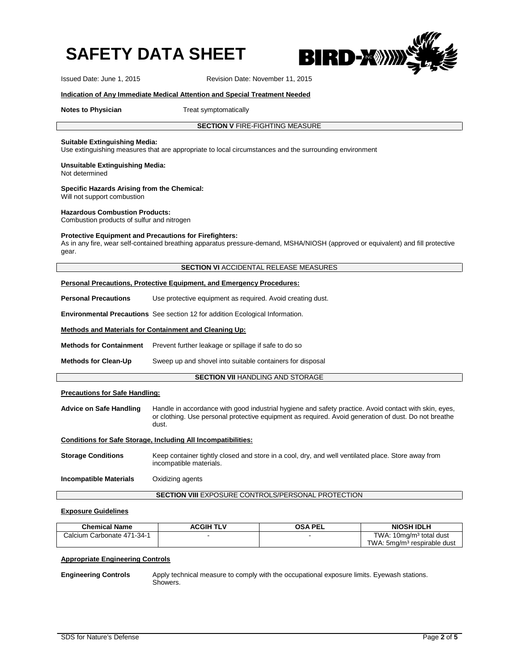

Issued Date: June 1, 2015 Revision Date: November 11, 2015

#### **Indication of Any Immediate Medical Attention and Special Treatment Needed**

**Notes to Physician** Treat symptomatically

#### **SECTION V** FIRE-FIGHTING MEASURE

#### **Suitable Extinguishing Media:**

Use extinguishing measures that are appropriate to local circumstances and the surrounding environment

# **Unsuitable Extinguishing Media:**

Not determined

#### **Specific Hazards Arising from the Chemical:** Will not support combustion

**Hazardous Combustion Products:** Combustion products of sulfur and nitrogen

#### **Protective Equipment and Precautions for Firefighters:**

As in any fire, wear self-contained breathing apparatus pressure-demand, MSHA/NIOSH (approved or equivalent) and fill protective gear.

#### **SECTION VI ACCIDENTAL RELEASE MEASURES**

#### **Personal Precautions, Protective Equipment, and Emergency Procedures:**

**Personal Precautions** Use protective equipment as required. Avoid creating dust.

**Environmental Precautions** See section 12 for addition Ecological Information.

#### **Methods and Materials for Containment and Cleaning Up:**

| <b>Methods for Containment</b> | Prevent further leakage or spillage if safe to do so      |
|--------------------------------|-----------------------------------------------------------|
| <b>Methods for Clean-Up</b>    | Sweep up and shovel into suitable containers for disposal |

#### **SECTION VII HANDLING AND STORAGE**

#### **Precautions for Safe Handling:**

**Advice on Safe Handling** Handle in accordance with good industrial hygiene and safety practice. Avoid contact with skin, eyes, or clothing. Use personal protective equipment as required. Avoid generation of dust. Do not breathe dust.

**Conditions for Safe Storage, Including All Incompatibilities:** 

**Storage Conditions** Keep container tightly closed and store in a cool, dry, and well ventilated place. Store away from incompatible materials.

**Incompatible Materials** Oxidizing agents

**SECTION VIII EXPOSURE CONTROLS/PERSONAL PROTECTION** 

#### **Exposure Guidelines**

| <b>Chemical Name</b>       | <b>ACGIH TLV</b> | <b>OSA PEL</b> | <b>NIOSH IDLH</b>                       |
|----------------------------|------------------|----------------|-----------------------------------------|
| Calcium Carbonate 471-34-1 |                  |                | TWA: 10mg/m <sup>3</sup> total dust     |
|                            |                  |                | TWA: 5mg/m <sup>3</sup> respirable dust |

#### **Appropriate Engineering Controls**

**Engineering Controls** Apply technical measure to comply with the occupational exposure limits. Eyewash stations. Showers.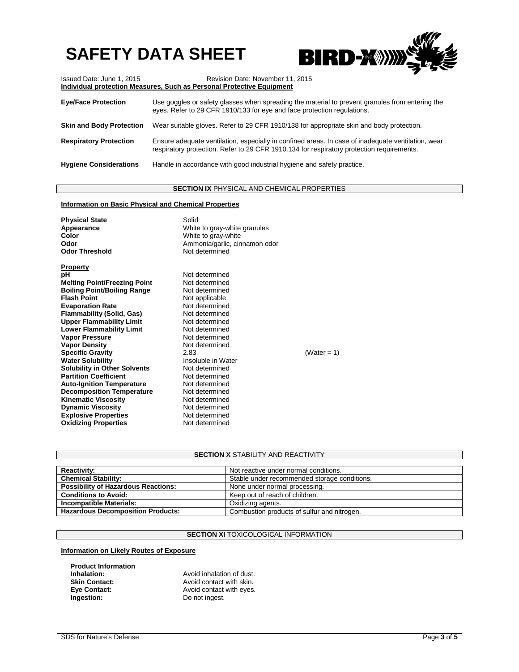| <b>SAFETY DATA SHEET</b> |                                  | <b>BIRD-XWWSCO</b> |
|--------------------------|----------------------------------|--------------------|
| bound Data, line 4.2015  | Bouisian Data: November 11, 2015 |                    |

| $35000$ Date. Julie 1, 2019<br>REVISION DATE. NOVEMBEL 11. ZUTJ<br>Individual protection Measures, Such as Personal Protective Equipment |                                                                                                                                                                                                 |  |  |  |  |
|------------------------------------------------------------------------------------------------------------------------------------------|-------------------------------------------------------------------------------------------------------------------------------------------------------------------------------------------------|--|--|--|--|
| <b>Eye/Face Protection</b>                                                                                                               | Use goggles or safety glasses when spreading the material to prevent granules from entering the<br>eyes. Refer to 29 CFR 1910/133 for eye and face protection regulations.                      |  |  |  |  |
| <b>Skin and Body Protection</b>                                                                                                          | Wear suitable gloves. Refer to 29 CFR 1910/138 for appropriate skin and body protection.                                                                                                        |  |  |  |  |
| <b>Respiratory Protection</b>                                                                                                            | Ensure adequate ventilation, especially in confined areas. In case of inadequate ventilation, wear<br>respiratory protection. Refer to 29 CFR 1910.134 for respiratory protection requirements. |  |  |  |  |
| <b>Hygiene Considerations</b>                                                                                                            | Handle in accordance with good industrial hygiene and safety practice.                                                                                                                          |  |  |  |  |

#### **SECTION IX** PHYSICAL AND CHEMICAL PROPERTIES

#### **Information on Basic Physical and Chemical Properties**

| <b>Physical State</b><br>Appearance<br>Color<br>Odor<br><b>Odor Threshold</b> | Solid<br>White to gray-white granules<br>White to gray-white<br>Ammonia/garlic, cinnamon odor<br>Not determined |
|-------------------------------------------------------------------------------|-----------------------------------------------------------------------------------------------------------------|
| <b>Property</b>                                                               |                                                                                                                 |
| рH                                                                            | Not determined                                                                                                  |
| <b>Melting Point/Freezing Point</b>                                           | Not determined                                                                                                  |
| <b>Boiling Point/Boiling Range</b>                                            | Not determined                                                                                                  |
| <b>Flash Point</b>                                                            | Not applicable                                                                                                  |
| <b>Evaporation Rate</b>                                                       | Not determined                                                                                                  |
| <b>Flammability (Solid, Gas)</b>                                              | Not determined                                                                                                  |
| <b>Upper Flammability Limit</b>                                               | Not determined                                                                                                  |
| <b>Lower Flammability Limit</b>                                               | Not determined                                                                                                  |
| <b>Vapor Pressure</b>                                                         | Not determined                                                                                                  |
| <b>Vapor Density</b>                                                          | Not determined                                                                                                  |
| <b>Specific Gravity</b>                                                       | 2.83                                                                                                            |
| <b>Water Solubility</b>                                                       | Insoluble in Water                                                                                              |
| <b>Solubility in Other Solvents</b>                                           | Not determined                                                                                                  |
| <b>Partition Coefficient</b>                                                  | Not determined                                                                                                  |
| <b>Auto-Ignition Temperature</b>                                              | Not determined                                                                                                  |
| <b>Decomposition Temperature</b>                                              | Not determined                                                                                                  |
| <b>Kinematic Viscosity</b>                                                    | Not determined                                                                                                  |
| <b>Dynamic Viscosity</b>                                                      | Not determined                                                                                                  |
| <b>Explosive Properties</b>                                                   | Not determined                                                                                                  |
| <b>Oxidizing Properties</b>                                                   | Not determined                                                                                                  |

**(Water = 1)** 

# **SECTION X STABILITY AND REACTIVITY Reactivity:** Not reactive under normal conditions.<br> **Chemical Stability:** Stable under recommended storage of Stable under recommended storage conditions.<br>None under normal processing. **Possibility of Hazardous Reactions:**<br>Conditions to Avoid: Keep out of reach of children. **Incompatible Materials: Incompatible Materials: Incompatible Materials: Combustion products: Combustion products** Combustion products of sulfur and nitrogen.

### **SECTION XI TOXICOLOGICAL INFORMATION**

## **Information on Likely Routes of Exposure**

 **Product Information**

**Inhalation:** Avoid inhalation of dust.<br>**Skin Contact:** Avoid contact with skin. **Skin Contact: Avoid contact with skin.**<br> **Eye Contact:** Avoid contact with eyes. **Eye Contact: Avoid contact with eyes.**<br> **Ingestion:** Do not ingest. Do not ingest.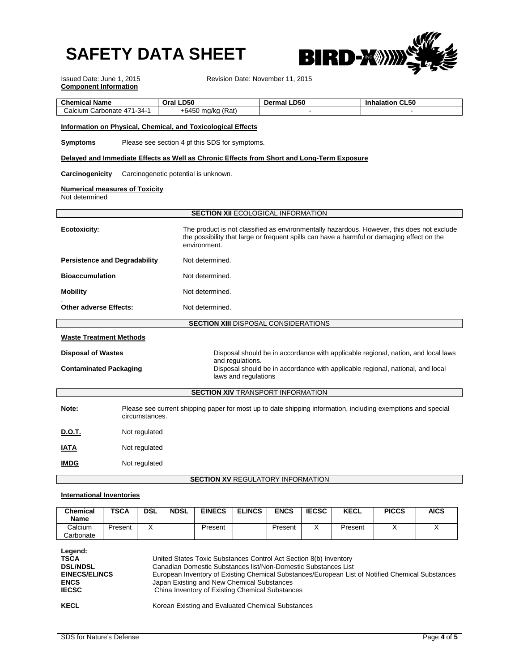|                                                                                                                                                                                                                                 |                                                                                                                                                             | <b>SAFETY DATA SHEET</b>                                                                   |                                             | <b>BIRD-XWWW</b>                                                                  |  |  |
|---------------------------------------------------------------------------------------------------------------------------------------------------------------------------------------------------------------------------------|-------------------------------------------------------------------------------------------------------------------------------------------------------------|--------------------------------------------------------------------------------------------|---------------------------------------------|-----------------------------------------------------------------------------------|--|--|
| Issued Date: June 1, 2015<br><b>Component Information</b>                                                                                                                                                                       |                                                                                                                                                             |                                                                                            | Revision Date: November 11, 2015            |                                                                                   |  |  |
| <b>Chemical Name</b>                                                                                                                                                                                                            |                                                                                                                                                             | Oral LD50                                                                                  | Dermal LD50                                 | <b>Inhalation CL50</b>                                                            |  |  |
| Calcium Carbonate 471-34-1                                                                                                                                                                                                      |                                                                                                                                                             | +6450 mg/kg (Rat)                                                                          | $\blacksquare$                              |                                                                                   |  |  |
|                                                                                                                                                                                                                                 |                                                                                                                                                             | Information on Physical, Chemical, and Toxicological Effects                               |                                             |                                                                                   |  |  |
| <b>Symptoms</b>                                                                                                                                                                                                                 |                                                                                                                                                             | Please see section 4 pf this SDS for symptoms.                                             |                                             |                                                                                   |  |  |
|                                                                                                                                                                                                                                 |                                                                                                                                                             | Delayed and Immediate Effects as Well as Chronic Effects from Short and Long-Term Exposure |                                             |                                                                                   |  |  |
| Carcinogenicity                                                                                                                                                                                                                 |                                                                                                                                                             | Carcinogenetic potential is unknown.                                                       |                                             |                                                                                   |  |  |
| <b>Numerical measures of Toxicity</b><br>Not determined                                                                                                                                                                         |                                                                                                                                                             |                                                                                            |                                             |                                                                                   |  |  |
|                                                                                                                                                                                                                                 |                                                                                                                                                             | <b>SECTION XII ECOLOGICAL INFORMATION</b>                                                  |                                             |                                                                                   |  |  |
| <b>Ecotoxicity:</b><br>The product is not classified as environmentally hazardous. However, this does not exclude<br>the possibility that large or frequent spills can have a harmful or damaging effect on the<br>environment. |                                                                                                                                                             |                                                                                            |                                             |                                                                                   |  |  |
| <b>Persistence and Degradability</b>                                                                                                                                                                                            |                                                                                                                                                             | Not determined.                                                                            |                                             |                                                                                   |  |  |
| <b>Bioaccumulation</b>                                                                                                                                                                                                          |                                                                                                                                                             | Not determined.                                                                            |                                             |                                                                                   |  |  |
| <b>Mobility</b>                                                                                                                                                                                                                 |                                                                                                                                                             | Not determined.                                                                            |                                             |                                                                                   |  |  |
| <b>Other adverse Effects:</b>                                                                                                                                                                                                   |                                                                                                                                                             | Not determined.                                                                            |                                             |                                                                                   |  |  |
|                                                                                                                                                                                                                                 |                                                                                                                                                             |                                                                                            | <b>SECTION XIII DISPOSAL CONSIDERATIONS</b> |                                                                                   |  |  |
| <b>Waste Treatment Methods</b>                                                                                                                                                                                                  |                                                                                                                                                             |                                                                                            |                                             |                                                                                   |  |  |
| <b>Disposal of Wastes</b>                                                                                                                                                                                                       |                                                                                                                                                             |                                                                                            |                                             | Disposal should be in accordance with applicable regional, nation, and local laws |  |  |
|                                                                                                                                                                                                                                 | and regulations.<br><b>Contaminated Packaging</b><br>Disposal should be in accordance with applicable regional, national, and local<br>laws and regulations |                                                                                            |                                             |                                                                                   |  |  |
|                                                                                                                                                                                                                                 |                                                                                                                                                             | <b>SECTION XIV TRANSPORT INFORMATION</b>                                                   |                                             |                                                                                   |  |  |
| Note:                                                                                                                                                                                                                           | Please see current shipping paper for most up to date shipping information, including exemptions and special<br>circumstances.                              |                                                                                            |                                             |                                                                                   |  |  |
| D.O.T.                                                                                                                                                                                                                          | Not regulated                                                                                                                                               |                                                                                            |                                             |                                                                                   |  |  |
| <b>IATA</b>                                                                                                                                                                                                                     | Not regulated                                                                                                                                               |                                                                                            |                                             |                                                                                   |  |  |
| <b>IMDG</b>                                                                                                                                                                                                                     | Not regulated                                                                                                                                               |                                                                                            |                                             |                                                                                   |  |  |
|                                                                                                                                                                                                                                 |                                                                                                                                                             |                                                                                            | <b>SECTION XV REGULATORY INFORMATION</b>    |                                                                                   |  |  |

# **International Inventories**

| <b>Chemical</b><br>Name | <b>TSCA</b> | <b>DSL</b> | <b>NDSL</b> | <b>EINECS</b> | <b>ELINCS</b> | <b>ENCS</b> | <b>IECSC</b> | KECL    | <b>PICCS</b> | <b>AICS</b> |
|-------------------------|-------------|------------|-------------|---------------|---------------|-------------|--------------|---------|--------------|-------------|
| Calcium                 | Present     |            |             | Present       |               | Present     | ⌒            | Present |              | $\cdot$     |
| Carbonate               |             |            |             |               |               |             |              |         |              |             |
|                         |             |            |             |               |               |             |              |         |              |             |

| Legend:<br><b>TSCA</b><br><b>DSL/NDSL</b><br><b>EINECS/ELINCS</b><br><b>ENCS</b><br><b>IECSC</b> | United States Toxic Substances Control Act Section 8(b) Inventory<br>Canadian Domestic Substances list/Non-Domestic Substances List<br>European Inventory of Existing Chemical Substances/European List of Notified Chemical Substances<br>Japan Existing and New Chemical Substances<br>China Inventory of Existing Chemical Substances |
|--------------------------------------------------------------------------------------------------|------------------------------------------------------------------------------------------------------------------------------------------------------------------------------------------------------------------------------------------------------------------------------------------------------------------------------------------|
| <b>KECL</b>                                                                                      | Korean Existing and Evaluated Chemical Substances                                                                                                                                                                                                                                                                                        |